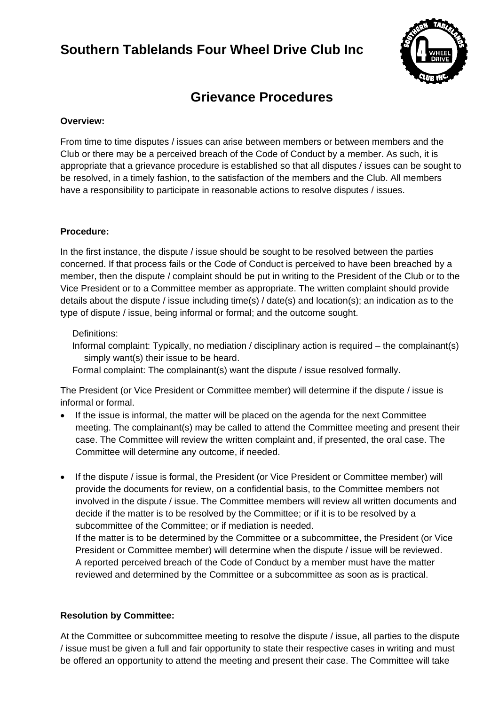# **Southern Tablelands Four Wheel Drive Club Inc**



## **Grievance Procedures**

#### **Overview:**

From time to time disputes / issues can arise between members or between members and the Club or there may be a perceived breach of the Code of Conduct by a member. As such, it is appropriate that a grievance procedure is established so that all disputes / issues can be sought to be resolved, in a timely fashion, to the satisfaction of the members and the Club. All members have a responsibility to participate in reasonable actions to resolve disputes / issues.

#### **Procedure:**

In the first instance, the dispute / issue should be sought to be resolved between the parties concerned. If that process fails or the Code of Conduct is perceived to have been breached by a member, then the dispute / complaint should be put in writing to the President of the Club or to the Vice President or to a Committee member as appropriate. The written complaint should provide details about the dispute / issue including time(s) / date(s) and location(s); an indication as to the type of dispute / issue, being informal or formal; and the outcome sought.

#### Definitions:

Informal complaint: Typically, no mediation / disciplinary action is required – the complainant(s) simply want(s) their issue to be heard.

Formal complaint: The complainant(s) want the dispute / issue resolved formally.

The President (or Vice President or Committee member) will determine if the dispute / issue is informal or formal.

- If the issue is informal, the matter will be placed on the agenda for the next Committee meeting. The complainant(s) may be called to attend the Committee meeting and present their case. The Committee will review the written complaint and, if presented, the oral case. The Committee will determine any outcome, if needed.
- If the dispute / issue is formal, the President (or Vice President or Committee member) will provide the documents for review, on a confidential basis, to the Committee members not involved in the dispute / issue. The Committee members will review all written documents and decide if the matter is to be resolved by the Committee; or if it is to be resolved by a subcommittee of the Committee; or if mediation is needed.

If the matter is to be determined by the Committee or a subcommittee, the President (or Vice President or Committee member) will determine when the dispute / issue will be reviewed. A reported perceived breach of the Code of Conduct by a member must have the matter reviewed and determined by the Committee or a subcommittee as soon as is practical.

#### **Resolution by Committee:**

At the Committee or subcommittee meeting to resolve the dispute / issue, all parties to the dispute / issue must be given a full and fair opportunity to state their respective cases in writing and must be offered an opportunity to attend the meeting and present their case. The Committee will take